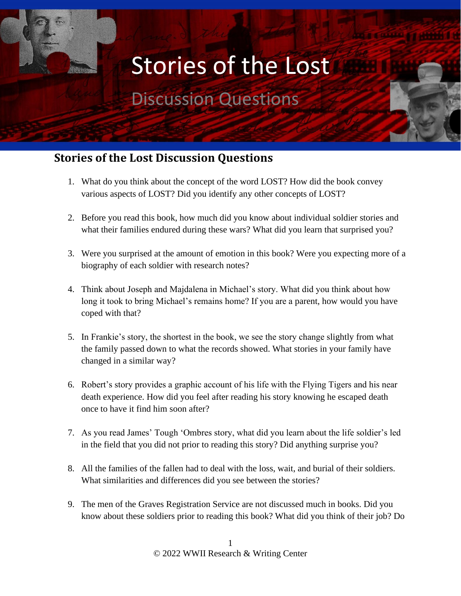## Stories of the Lost

## Discussion Questions

## **Stories of the Lost Discussion Questions**

- 1. What do you think about the concept of the word LOST? How did the book convey various aspects of LOST? Did you identify any other concepts of LOST?
- 2. Before you read this book, how much did you know about individual soldier stories and what their families endured during these wars? What did you learn that surprised you?
- 3. Were you surprised at the amount of emotion in this book? Were you expecting more of a biography of each soldier with research notes?
- 4. Think about Joseph and Majdalena in Michael's story. What did you think about how long it took to bring Michael's remains home? If you are a parent, how would you have coped with that?
- 5. In Frankie's story, the shortest in the book, we see the story change slightly from what the family passed down to what the records showed. What stories in your family have changed in a similar way?
- 6. Robert's story provides a graphic account of his life with the Flying Tigers and his near death experience. How did you feel after reading his story knowing he escaped death once to have it find him soon after?
- 7. As you read James' Tough 'Ombres story, what did you learn about the life soldier's led in the field that you did not prior to reading this story? Did anything surprise you?
- 8. All the families of the fallen had to deal with the loss, wait, and burial of their soldiers. What similarities and differences did you see between the stories?
- 9. The men of the Graves Registration Service are not discussed much in books. Did you know about these soldiers prior to reading this book? What did you think of their job? Do